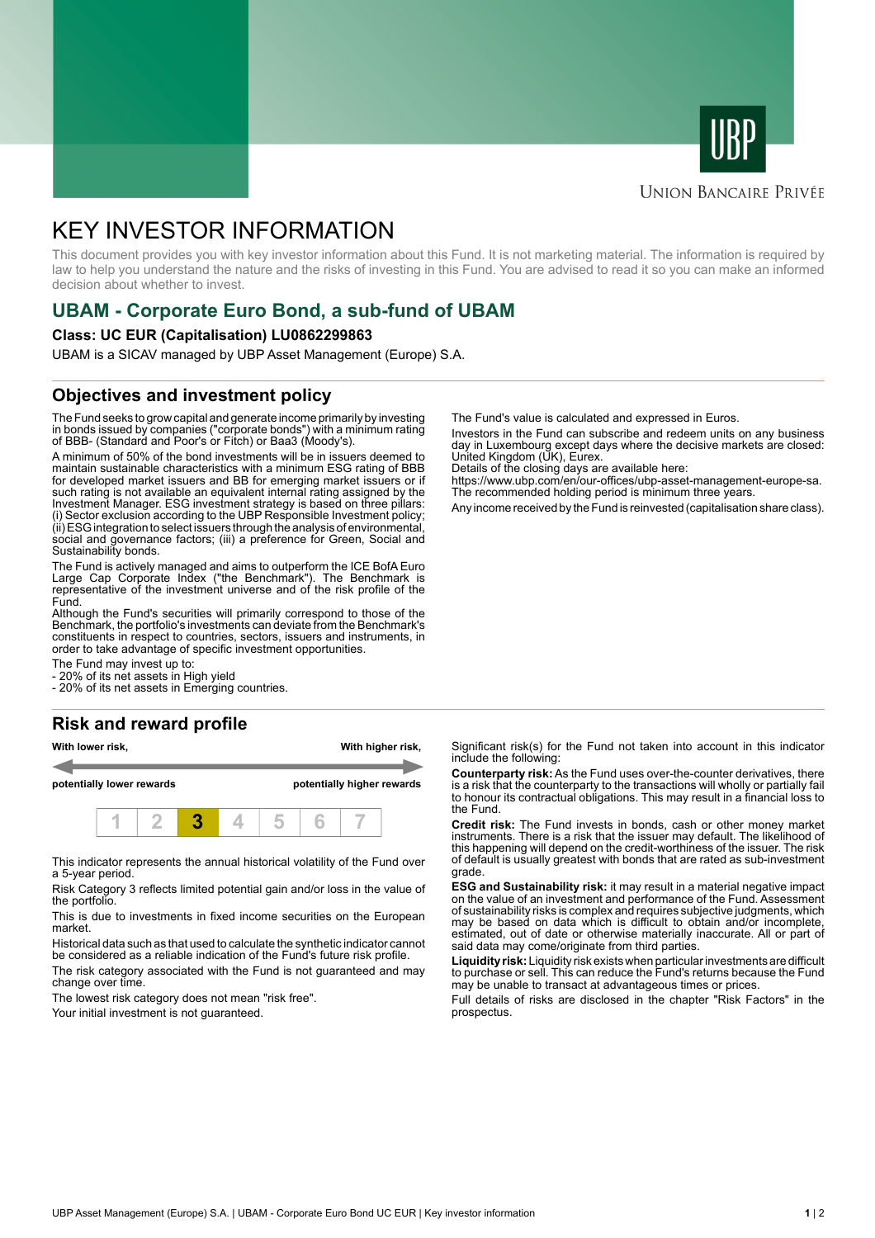



### **UNION BANCAIRE PRIVÉE**

# KEY INVESTOR INFORMATION

This document provides you with key investor information about this Fund. It is not marketing material. The information is required by law to help you understand the nature and the risks of investing in this Fund. You are advised to read it so you can make an informed decision about whether to invest.

# **UBAM - Corporate Euro Bond, a sub-fund of UBAM**

#### **Class: UC EUR (Capitalisation) LU0862299863**

UBAM is a SICAV managed by UBP Asset Management (Europe) S.A.

### **Objectives and investment policy**

The Fund seeks to grow capital and generate income primarily by investing in bonds issued by companies ("corporate bonds") with a minimum rating of BBB- (Standard and Poor's or Fitch) or Baa3 (Moody's).

A minimum of 50% of the bond investments will be in issuers deemed to maintain sustainable characteristics with a minimum ESG rating of BBB for developed market issuers and BB for emerging market issuers or if such rating is not available an equivalent internal rating assigned by the Investment Manager. ESG investment strategy is based on three pillars: (i) Sector exclusion according to the UBP Responsible Investment policy; (ii) ESG integration to select issuers through the analysis of environmental, social and governance factors; (iii) a preference for Green, Social and Sustainability bonds.

The Fund is actively managed and aims to outperform the ICE BofA Euro Large Cap Corporate Index ("the Benchmark"). The Benchmark is representative of the investment universe and of the risk profile of the Fund.

Although the Fund's securities will primarily correspond to those of the Benchmark, the portfolio's investments can deviate from the Benchmark's constituents in respect to countries, sectors, issuers and instruments, in order to take advantage of specific investment opportunities.

The Fund may invest up to:

- 20% of its net assets in High yield

- 20% of its net assets in Emerging countries.

#### **Risk and reward profile**

**With lower risk, With higher risk, potentially lower rewards potentially higher rewards**



This indicator represents the annual historical volatility of the Fund over a 5-year period.

Risk Category 3 reflects limited potential gain and/or loss in the value of the portfolio.

This is due to investments in fixed income securities on the European market.

Historical data such as that used to calculate the synthetic indicator cannot be considered as a reliable indication of the Fund's future risk profile. The risk category associated with the Fund is not guaranteed and may

change over time.

The lowest risk category does not mean "risk free".

Your initial investment is not guaranteed.

The Fund's value is calculated and expressed in Euros.

Investors in the Fund can subscribe and redeem units on any business day in Luxembourg except days where the decisive markets are closed: United Kingdom (UK), Eurex.

Details of the closing days are available here:

https://www.ubp.com/en/our-offices/ubp-asset-management-europe-sa. The recommended holding period is minimum three years.

Any income received by the Fund is reinvested (capitalisation share class).

Significant risk(s) for the Fund not taken into account in this indicator include the following:

**Counterparty risk:** As the Fund uses over-the-counter derivatives, there is a risk that the counterparty to the transactions will wholly or partially fail to honour its contractual obligations. This may result in a financial loss to the Fund.

**Credit risk:** The Fund invests in bonds, cash or other money market instruments. There is a risk that the issuer may default. The likelihood of this happening will depend on the credit-worthiness of the issuer. The risk of default is usually greatest with bonds that are rated as sub-investment grade.

**ESG and Sustainability risk:** it may result in a material negative impact on the value of an investment and performance of the Fund. Assessment of sustainability risks is complex and requires subjective judgments, which may be based on data which is difficult to obtain and/or incomplete, estimated, out of date or otherwise materially inaccurate. All or part of said data may come/originate from third parties.

**Liquidity risk:** Liquidity risk exists when particular investments are difficult to purchase or sell. This can reduce the Fund's returns because the Fund may be unable to transact at advantageous times or prices.

Full details of risks are disclosed in the chapter "Risk Factors" in the prospectus.